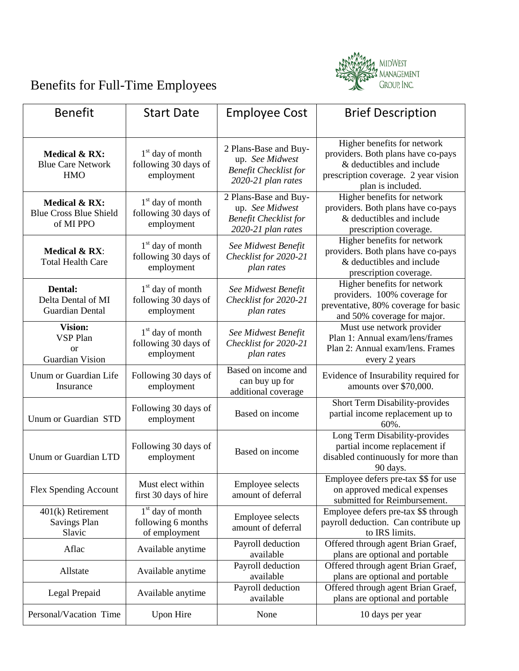

## Benefits for Full-Time Employees

| <b>Benefit</b>                                                               | <b>Start Date</b>                                         | <b>Employee Cost</b>                                                                           | <b>Brief Description</b>                                                                                                                                    |
|------------------------------------------------------------------------------|-----------------------------------------------------------|------------------------------------------------------------------------------------------------|-------------------------------------------------------------------------------------------------------------------------------------------------------------|
| Medical & RX:<br><b>Blue Care Network</b><br><b>HMO</b>                      | $1st$ day of month<br>following 30 days of<br>employment  | 2 Plans-Base and Buy-<br>up. See Midwest<br><b>Benefit Checklist for</b><br>2020-21 plan rates | Higher benefits for network<br>providers. Both plans have co-pays<br>& deductibles and include<br>prescription coverage. 2 year vision<br>plan is included. |
| Medical & RX:<br><b>Blue Cross Blue Shield</b><br>of MI PPO                  | $1st$ day of month<br>following 30 days of<br>employment  | 2 Plans-Base and Buy-<br>up. See Midwest<br><b>Benefit Checklist for</b><br>2020-21 plan rates | Higher benefits for network<br>providers. Both plans have co-pays<br>& deductibles and include<br>prescription coverage.                                    |
| <b>Medical &amp; RX:</b><br><b>Total Health Care</b>                         | $1st$ day of month<br>following 30 days of<br>employment  | See Midwest Benefit<br>Checklist for 2020-21<br>plan rates                                     | Higher benefits for network<br>providers. Both plans have co-pays<br>& deductibles and include<br>prescription coverage.                                    |
| Dental:<br>Delta Dental of MI<br><b>Guardian Dental</b>                      | $1st$ day of month<br>following 30 days of<br>employment  | See Midwest Benefit<br>Checklist for 2020-21<br>plan rates                                     | Higher benefits for network<br>providers. 100% coverage for<br>preventative, 80% coverage for basic<br>and 50% coverage for major.                          |
| <b>Vision:</b><br><b>VSP Plan</b><br><sub>or</sub><br><b>Guardian Vision</b> | $1st$ day of month<br>following 30 days of<br>employment  | See Midwest Benefit<br>Checklist for 2020-21<br>plan rates                                     | Must use network provider<br>Plan 1: Annual exam/lens/frames<br>Plan 2: Annual exam/lens. Frames<br>every 2 years                                           |
| Unum or Guardian Life<br>Insurance                                           | Following 30 days of<br>employment                        | Based on income and<br>can buy up for<br>additional coverage                                   | Evidence of Insurability required for<br>amounts over \$70,000.                                                                                             |
| Unum or Guardian STD                                                         | Following 30 days of<br>employment                        | Based on income                                                                                | Short Term Disability-provides<br>partial income replacement up to<br>60%.                                                                                  |
| Unum or Guardian LTD                                                         | Following 30 days of<br>employment                        | Based on income                                                                                | Long Term Disability-provides<br>partial income replacement if<br>disabled continuously for more than<br>90 days.                                           |
| Flex Spending Account                                                        | Must elect within<br>first 30 days of hire                | <b>Employee selects</b><br>amount of deferral                                                  | Employee defers pre-tax \$\$ for use<br>on approved medical expenses<br>submitted for Reimbursement.                                                        |
| 401(k) Retirement<br><b>Savings Plan</b><br>Slavic                           | $1st$ day of month<br>following 6 months<br>of employment | <b>Employee selects</b><br>amount of deferral                                                  | Employee defers pre-tax \$\$ through<br>payroll deduction. Can contribute up<br>to IRS limits.                                                              |
| Aflac                                                                        | Available anytime                                         | Payroll deduction<br>available                                                                 | Offered through agent Brian Graef,<br>plans are optional and portable                                                                                       |
| Allstate                                                                     | Available anytime                                         | Payroll deduction<br>available                                                                 | Offered through agent Brian Graef,<br>plans are optional and portable                                                                                       |
| Legal Prepaid                                                                | Available anytime                                         | Payroll deduction<br>available                                                                 | Offered through agent Brian Graef,<br>plans are optional and portable                                                                                       |
| Personal/Vacation Time                                                       | <b>Upon Hire</b>                                          | None                                                                                           | 10 days per year                                                                                                                                            |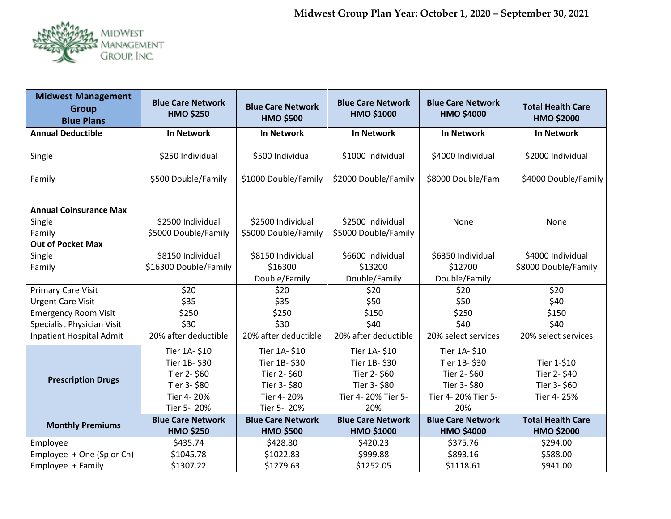

| <b>Midwest Management</b><br><b>Group</b><br><b>Blue Plans</b> | <b>Blue Care Network</b><br><b>HMO \$250</b> | <b>Blue Care Network</b><br><b>HMO \$500</b> | <b>Blue Care Network</b><br><b>HMO \$1000</b> | <b>Blue Care Network</b><br><b>HMO \$4000</b> | <b>Total Health Care</b><br><b>HMO \$2000</b> |
|----------------------------------------------------------------|----------------------------------------------|----------------------------------------------|-----------------------------------------------|-----------------------------------------------|-----------------------------------------------|
| <b>Annual Deductible</b>                                       | <b>In Network</b>                            | <b>In Network</b>                            | <b>In Network</b>                             | <b>In Network</b>                             | <b>In Network</b>                             |
| Single                                                         | \$250 Individual                             | \$500 Individual                             | \$1000 Individual                             | \$4000 Individual                             | \$2000 Individual                             |
| Family                                                         | \$500 Double/Family                          | \$1000 Double/Family                         | \$2000 Double/Family                          | \$8000 Double/Fam                             | \$4000 Double/Family                          |
| <b>Annual Coinsurance Max</b>                                  |                                              |                                              |                                               |                                               |                                               |
| Single                                                         | \$2500 Individual                            | \$2500 Individual                            | \$2500 Individual                             | None                                          | None                                          |
| Family                                                         | \$5000 Double/Family                         | \$5000 Double/Family                         | \$5000 Double/Family                          |                                               |                                               |
| <b>Out of Pocket Max</b>                                       |                                              |                                              |                                               |                                               |                                               |
| Single                                                         | \$8150 Individual                            | \$8150 Individual                            | \$6600 Individual                             | \$6350 Individual                             | \$4000 Individual                             |
| Family                                                         | \$16300 Double/Family                        | \$16300                                      | \$13200                                       | \$12700                                       | \$8000 Double/Family                          |
|                                                                |                                              | Double/Family                                | Double/Family                                 | Double/Family                                 |                                               |
| <b>Primary Care Visit</b>                                      | \$20                                         | \$20                                         | \$20                                          | \$20                                          | \$20                                          |
| <b>Urgent Care Visit</b>                                       | \$35                                         | \$35                                         | \$50                                          | \$50                                          | \$40                                          |
| <b>Emergency Room Visit</b>                                    | \$250                                        | \$250                                        | \$150                                         | \$250                                         | \$150                                         |
| Specialist Physician Visit                                     | \$30                                         | \$30                                         | \$40                                          | \$40                                          | \$40                                          |
| Inpatient Hospital Admit                                       | 20% after deductible                         | 20% after deductible                         | 20% after deductible                          | 20% select services                           | 20% select services                           |
|                                                                | Tier 1A-\$10                                 | Tier 1A-\$10                                 | Tier 1A-\$10                                  | Tier 1A-\$10                                  |                                               |
| <b>Prescription Drugs</b>                                      | Tier 1B-\$30                                 | Tier 1B-\$30                                 | Tier 1B-\$30                                  | Tier 1B-\$30                                  | Tier 1-\$10                                   |
|                                                                | Tier 2-\$60                                  | Tier 2-\$60                                  | Tier 2-\$60                                   | Tier 2-\$60                                   | Tier 2-\$40                                   |
|                                                                | Tier 3-\$80                                  | Tier 3- \$80                                 | Tier 3- \$80                                  | Tier 3- \$80                                  | Tier 3- \$60                                  |
|                                                                | Tier 4-20%                                   | Tier 4-20%                                   | Tier 4-20% Tier 5-                            | Tier 4-20% Tier 5-                            | Tier 4-25%                                    |
|                                                                | Tier 5- 20%                                  | Tier 5- 20%                                  | 20%                                           | 20%                                           |                                               |
| <b>Monthly Premiums</b>                                        | <b>Blue Care Network</b>                     | <b>Blue Care Network</b>                     | <b>Blue Care Network</b>                      | <b>Blue Care Network</b>                      | <b>Total Health Care</b>                      |
|                                                                | <b>HMO \$250</b>                             | <b>HMO \$500</b>                             | <b>HMO \$1000</b>                             | <b>HMO \$4000</b>                             | HMO \$2000                                    |
| Employee                                                       | \$435.74                                     | \$428.80                                     | \$420.23                                      | \$375.76                                      | \$294.00                                      |
| Employee + One (Sp or Ch)                                      | \$1045.78                                    | \$1022.83                                    | \$999.88                                      | \$893.16                                      | \$588.00                                      |
| Employee + Family                                              | \$1307.22                                    | \$1279.63                                    | \$1252.05                                     | \$1118.61                                     | \$941.00                                      |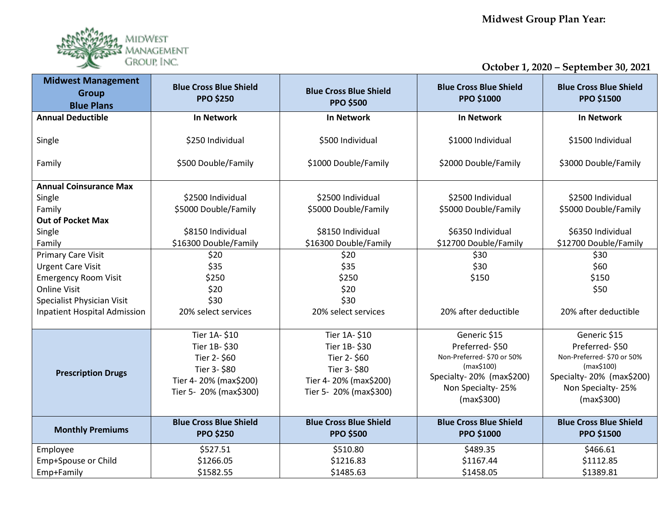**Midwest Group Plan Year:**



**October 1, 2020 – September 30, 2021**

| <b>Midwest Management</b><br><b>Group</b><br><b>Blue Plans</b> | <b>Blue Cross Blue Shield</b><br><b>PPO \$250</b> | <b>Blue Cross Blue Shield</b><br><b>PPO \$500</b> | <b>Blue Cross Blue Shield</b><br><b>PPO \$1000</b> | <b>Blue Cross Blue Shield</b><br><b>PPO \$1500</b> |
|----------------------------------------------------------------|---------------------------------------------------|---------------------------------------------------|----------------------------------------------------|----------------------------------------------------|
| <b>Annual Deductible</b>                                       | <b>In Network</b>                                 | <b>In Network</b>                                 | <b>In Network</b>                                  | <b>In Network</b>                                  |
| Single<br>Family                                               | \$250 Individual<br>\$500 Double/Family           | \$500 Individual<br>\$1000 Double/Family          | \$1000 Individual<br>\$2000 Double/Family          | \$1500 Individual<br>\$3000 Double/Family          |
|                                                                |                                                   |                                                   |                                                    |                                                    |
| <b>Annual Coinsurance Max</b>                                  |                                                   |                                                   |                                                    |                                                    |
| Single                                                         | \$2500 Individual                                 | \$2500 Individual                                 | \$2500 Individual                                  | \$2500 Individual                                  |
| Family                                                         | \$5000 Double/Family                              | \$5000 Double/Family                              | \$5000 Double/Family                               | \$5000 Double/Family                               |
| <b>Out of Pocket Max</b>                                       |                                                   |                                                   |                                                    |                                                    |
| Single                                                         | \$8150 Individual                                 | \$8150 Individual                                 | \$6350 Individual                                  | \$6350 Individual                                  |
| Family                                                         | \$16300 Double/Family                             | \$16300 Double/Family                             | \$12700 Double/Family                              | \$12700 Double/Family                              |
| <b>Primary Care Visit</b>                                      | \$20                                              | \$20                                              | \$30                                               | \$30                                               |
| <b>Urgent Care Visit</b>                                       | \$35                                              | \$35                                              | \$30                                               | \$60                                               |
| <b>Emergency Room Visit</b>                                    | \$250                                             | \$250                                             | \$150                                              | \$150                                              |
| <b>Online Visit</b>                                            | \$20                                              | \$20                                              |                                                    | \$50                                               |
| Specialist Physician Visit                                     | \$30                                              | \$30                                              |                                                    |                                                    |
| <b>Inpatient Hospital Admission</b>                            | 20% select services                               | 20% select services                               | 20% after deductible                               | 20% after deductible                               |
|                                                                |                                                   |                                                   |                                                    |                                                    |
|                                                                | Tier 1A-\$10                                      | Tier 1A-\$10                                      | Generic \$15                                       | Generic \$15                                       |
|                                                                | Tier 1B-\$30                                      | Tier 1B-\$30                                      | Preferred-\$50                                     | Preferred-\$50                                     |
| <b>Prescription Drugs</b>                                      | Tier 2-\$60                                       | Tier 2-\$60                                       | Non-Preferred- \$70 or 50%<br>(max\$100)           | Non-Preferred-\$70 or 50%<br>(max\$100)            |
|                                                                | Tier 3- \$80                                      | Tier 3-\$80                                       | Specialty-20% (max\$200)                           | Specialty-20% (max\$200)                           |
|                                                                | Tier 4-20% (max\$200)                             | Tier 4-20% (max\$200)                             | Non Specialty-25%                                  | Non Specialty-25%                                  |
|                                                                | Tier 5- 20% (max\$300)                            | Tier 5- 20% (max\$300)                            | (max\$300)                                         | (max\$300)                                         |
|                                                                |                                                   |                                                   |                                                    |                                                    |
|                                                                | <b>Blue Cross Blue Shield</b>                     | <b>Blue Cross Blue Shield</b>                     | <b>Blue Cross Blue Shield</b>                      | <b>Blue Cross Blue Shield</b>                      |
| <b>Monthly Premiums</b>                                        | <b>PPO \$250</b>                                  | <b>PPO \$500</b>                                  | <b>PPO \$1000</b>                                  | <b>PPO \$1500</b>                                  |
| Employee                                                       | \$527.51                                          | \$510.80                                          | \$489.35                                           | \$466.61                                           |
| Emp+Spouse or Child                                            | \$1266.05                                         | \$1216.83                                         | \$1167.44                                          | \$1112.85                                          |
| Emp+Family                                                     | \$1582.55                                         | \$1485.63                                         | \$1458.05                                          | \$1389.81                                          |